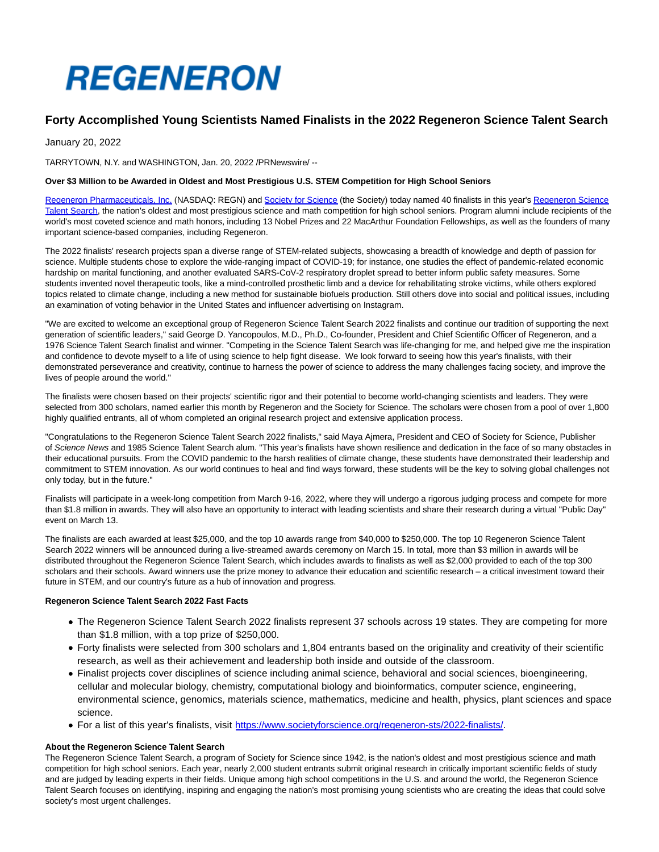# **REGENERON**

# **Forty Accomplished Young Scientists Named Finalists in the 2022 Regeneron Science Talent Search**

January 20, 2022

TARRYTOWN, N.Y. and WASHINGTON, Jan. 20, 2022 /PRNewswire/ --

# **Over \$3 Million to be Awarded in Oldest and Most Prestigious U.S. STEM Competition for High School Seniors**

[Regeneron Pharmaceuticals, Inc. \(](https://c212.net/c/link/?t=0&l=en&o=3418288-1&h=3885840482&u=https%3A%2F%2Fwww.regeneron.com%2F&a=Regeneron+Pharmaceuticals%2C+Inc.)NASDAQ: REGN) and [Society for Science \(](https://c212.net/c/link/?t=0&l=en&o=3418288-1&h=3959729689&u=https%3A%2F%2Fwww.societyforscience.org%2F&a=Society+for+Science)the Society) today named 40 finalists in this year's [Regeneron Science](https://c212.net/c/link/?t=0&l=en&o=3418288-1&h=3282178991&u=https%3A%2F%2Fwww.societyforscience.org%2Fregeneron-sts%2F&a=Regeneron+Science+Talent+Search) Talent Search, the nation's oldest and most prestigious science and math competition for high school seniors. Program alumni include recipients of the world's most coveted science and math honors, including 13 Nobel Prizes and 22 MacArthur Foundation Fellowships, as well as the founders of many important science-based companies, including Regeneron.

The 2022 finalists' research projects span a diverse range of STEM-related subjects, showcasing a breadth of knowledge and depth of passion for science. Multiple students chose to explore the wide-ranging impact of COVID-19; for instance, one studies the effect of pandemic-related economic hardship on marital functioning, and another evaluated SARS-CoV-2 respiratory droplet spread to better inform public safety measures. Some students invented novel therapeutic tools, like a mind-controlled prosthetic limb and a device for rehabilitating stroke victims, while others explored topics related to climate change, including a new method for sustainable biofuels production. Still others dove into social and political issues, including an examination of voting behavior in the United States and influencer advertising on Instagram.

"We are excited to welcome an exceptional group of Regeneron Science Talent Search 2022 finalists and continue our tradition of supporting the next generation of scientific leaders," said George D. Yancopoulos, M.D., Ph.D., Co-founder, President and Chief Scientific Officer of Regeneron, and a 1976 Science Talent Search finalist and winner. "Competing in the Science Talent Search was life-changing for me, and helped give me the inspiration and confidence to devote myself to a life of using science to help fight disease. We look forward to seeing how this year's finalists, with their demonstrated perseverance and creativity, continue to harness the power of science to address the many challenges facing society, and improve the lives of people around the world."

The finalists were chosen based on their projects' scientific rigor and their potential to become world-changing scientists and leaders. They were selected from 300 scholars, named earlier this month by Regeneron and the Society for Science. The scholars were chosen from a pool of over 1,800 highly qualified entrants, all of whom completed an original research project and extensive application process.

"Congratulations to the Regeneron Science Talent Search 2022 finalists," said Maya Ajmera, President and CEO of Society for Science, Publisher of Science News and 1985 Science Talent Search alum. "This year's finalists have shown resilience and dedication in the face of so many obstacles in their educational pursuits. From the COVID pandemic to the harsh realities of climate change, these students have demonstrated their leadership and commitment to STEM innovation. As our world continues to heal and find ways forward, these students will be the key to solving global challenges not only today, but in the future."

Finalists will participate in a week-long competition from March 9-16, 2022, where they will undergo a rigorous judging process and compete for more than \$1.8 million in awards. They will also have an opportunity to interact with leading scientists and share their research during a virtual "Public Day" event on March 13.

The finalists are each awarded at least \$25,000, and the top 10 awards range from \$40,000 to \$250,000. The top 10 Regeneron Science Talent Search 2022 winners will be announced during a live-streamed awards ceremony on March 15. In total, more than \$3 million in awards will be distributed throughout the Regeneron Science Talent Search, which includes awards to finalists as well as \$2,000 provided to each of the top 300 scholars and their schools. Award winners use the prize money to advance their education and scientific research – a critical investment toward their future in STEM, and our country's future as a hub of innovation and progress.

# **Regeneron Science Talent Search 2022 Fast Facts**

- The Regeneron Science Talent Search 2022 finalists represent 37 schools across 19 states. They are competing for more than \$1.8 million, with a top prize of \$250,000.
- Forty finalists were selected from 300 scholars and 1,804 entrants based on the originality and creativity of their scientific research, as well as their achievement and leadership both inside and outside of the classroom.
- Finalist projects cover disciplines of science including animal science, behavioral and social sciences, bioengineering, cellular and molecular biology, chemistry, computational biology and bioinformatics, computer science, engineering, environmental science, genomics, materials science, mathematics, medicine and health, physics, plant sciences and space science.
- For a list of this year's finalists, visit [https://www.societyforscience.org/regeneron-sts/2022-finalists/.](https://c212.net/c/link/?t=0&l=en&o=3418288-1&h=139961453&u=https%3A%2F%2Fwww.societyforscience.org%2Fregeneron-sts%2F2022-finalists%2F&a=https%3A%2F%2Fwww.societyforscience.org%2Fregeneron-sts%2F2022-finalists%2F)

# **About the Regeneron Science Talent Search**

The Regeneron Science Talent Search, a program of Society for Science since 1942, is the nation's oldest and most prestigious science and math competition for high school seniors. Each year, nearly 2,000 student entrants submit original research in critically important scientific fields of study and are judged by leading experts in their fields. Unique among high school competitions in the U.S. and around the world, the Regeneron Science Talent Search focuses on identifying, inspiring and engaging the nation's most promising young scientists who are creating the ideas that could solve society's most urgent challenges.